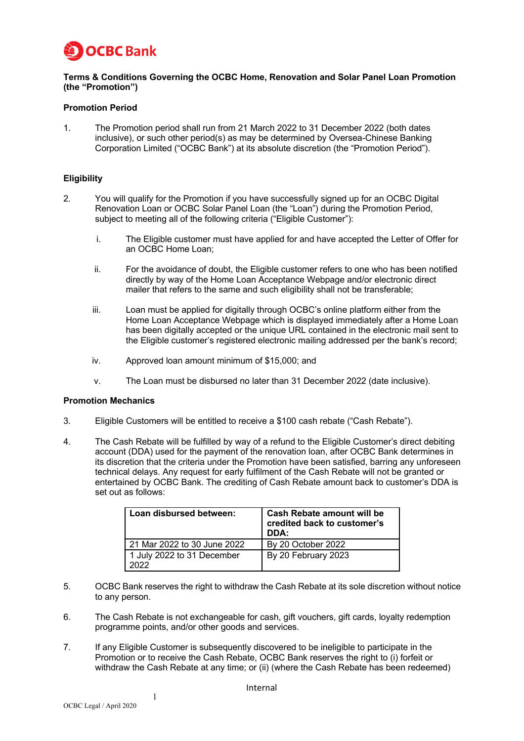

# **Terms & Conditions Governing the OCBC Home, Renovation and Solar Panel Loan Promotion (the "Promotion")**

# **Promotion Period**

1. The Promotion period shall run from 21 March 2022 to 31 December 2022 (both dates inclusive), or such other period(s) as may be determined by Oversea-Chinese Banking Corporation Limited ("OCBC Bank") at its absolute discretion (the "Promotion Period").

# **Eligibility**

- 2. You will qualify for the Promotion if you have successfully signed up for an OCBC Digital Renovation Loan or OCBC Solar Panel Loan (the "Loan") during the Promotion Period, subject to meeting all of the following criteria ("Eligible Customer"):
	- i. The Eligible customer must have applied for and have accepted the Letter of Offer for an OCBC Home Loan;
	- ii. For the avoidance of doubt, the Eligible customer refers to one who has been notified directly by way of the Home Loan Acceptance Webpage and/or electronic direct mailer that refers to the same and such eligibility shall not be transferable;
	- iii. Loan must be applied for digitally through OCBC's online platform either from the Home Loan Acceptance Webpage which is displayed immediately after a Home Loan has been digitally accepted or the unique URL contained in the electronic mail sent to the Eligible customer's registered electronic mailing addressed per the bank's record;
	- iv. Approved loan amount minimum of \$15,000; and
	- v. The Loan must be disbursed no later than 31 December 2022 (date inclusive).

# **Promotion Mechanics**

- 3. Eligible Customers will be entitled to receive a \$100 cash rebate ("Cash Rebate").
- 4. The Cash Rebate will be fulfilled by way of a refund to the Eligible Customer's direct debiting account (DDA) used for the payment of the renovation loan, after OCBC Bank determines in its discretion that the criteria under the Promotion have been satisfied, barring any unforeseen technical delays. Any request for early fulfilment of the Cash Rebate will not be granted or entertained by OCBC Bank. The crediting of Cash Rebate amount back to customer's DDA is set out as follows:

| Loan disbursed between:            | <b>Cash Rebate amount will be</b><br>credited back to customer's<br>DDA: |
|------------------------------------|--------------------------------------------------------------------------|
| 21 Mar 2022 to 30 June 2022        | By 20 October 2022                                                       |
| 1 July 2022 to 31 December<br>つハつつ | By 20 February 2023                                                      |

- 5. OCBC Bank reserves the right to withdraw the Cash Rebate at its sole discretion without notice to any person.
- 6. The Cash Rebate is not exchangeable for cash, gift vouchers, gift cards, loyalty redemption programme points, and/or other goods and services.
- 7. If any Eligible Customer is subsequently discovered to be ineligible to participate in the Promotion or to receive the Cash Rebate, OCBC Bank reserves the right to (i) forfeit or withdraw the Cash Rebate at any time; or (ii) (where the Cash Rebate has been redeemed)

1